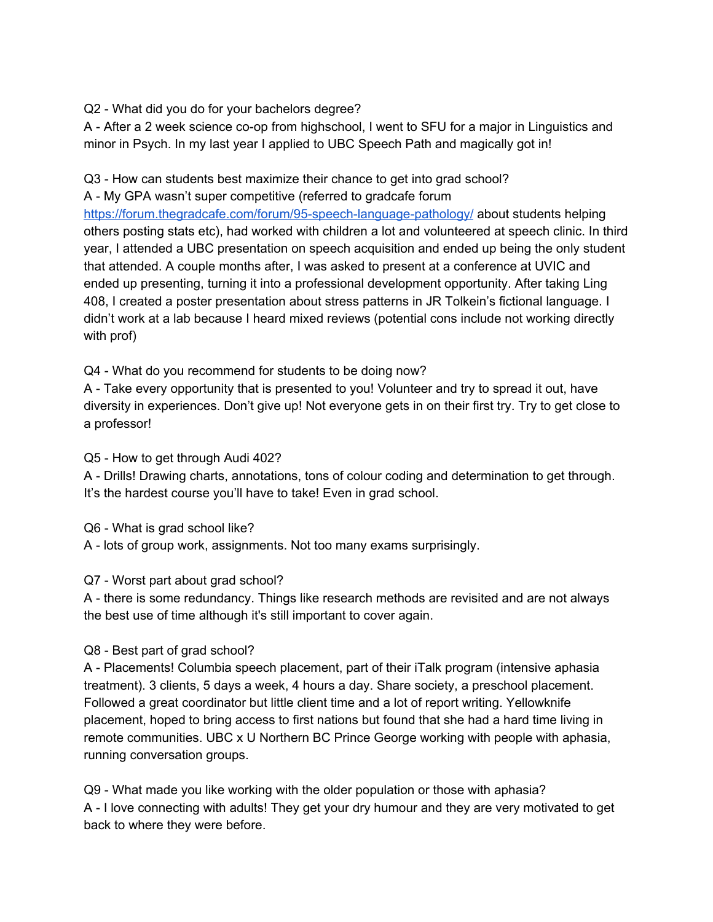Q2 - What did you do for your bachelors degree?

A - After a 2 week science co-op from highschool, I went to SFU for a major in Linguistics and minor in Psych. In my last year I applied to UBC Speech Path and magically got in!

Q3 - How can students best maximize their chance to get into grad school?

A - My GPA wasn't super competitive (referred to gradcafe forum

<https://forum.thegradcafe.com/forum/95-speech-language-pathology/> about students helping others posting stats etc), had worked with children a lot and volunteered at speech clinic. In third year, I attended a UBC presentation on speech acquisition and ended up being the only student that attended. A couple months after, I was asked to present at a conference at UVIC and ended up presenting, turning it into a professional development opportunity. After taking Ling 408, I created a poster presentation about stress patterns in JR Tolkein's fictional language. I didn't work at a lab because I heard mixed reviews (potential cons include not working directly with prof)

Q4 - What do you recommend for students to be doing now?

A - Take every opportunity that is presented to you! Volunteer and try to spread it out, have diversity in experiences. Don't give up! Not everyone gets in on their first try. Try to get close to a professor!

Q5 - How to get through Audi 402?

A - Drills! Drawing charts, annotations, tons of colour coding and determination to get through. It's the hardest course you'll have to take! Even in grad school.

Q6 - What is grad school like?

A - lots of group work, assignments. Not too many exams surprisingly.

# Q7 - Worst part about grad school?

A - there is some redundancy. Things like research methods are revisited and are not always the best use of time although it's still important to cover again.

# Q8 - Best part of grad school?

A - Placements! Columbia speech placement, part of their iTalk program (intensive aphasia treatment). 3 clients, 5 days a week, 4 hours a day. Share society, a preschool placement. Followed a great coordinator but little client time and a lot of report writing. Yellowknife placement, hoped to bring access to first nations but found that she had a hard time living in remote communities. UBC x U Northern BC Prince George working with people with aphasia, running conversation groups.

Q9 - What made you like working with the older population or those with aphasia? A - I love connecting with adults! They get your dry humour and they are very motivated to get back to where they were before.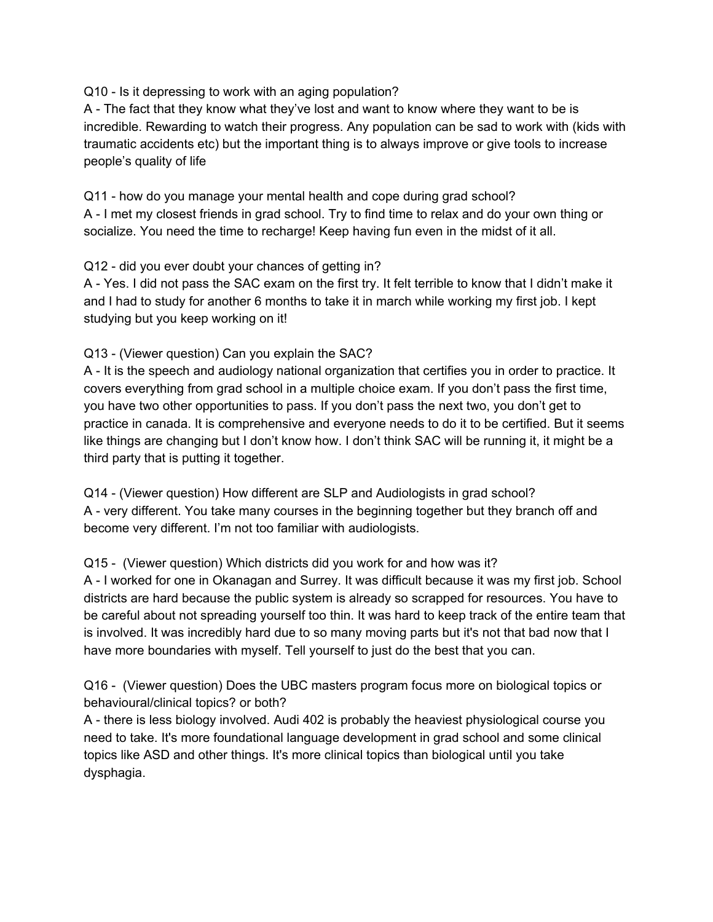### Q10 - Is it depressing to work with an aging population?

A - The fact that they know what they've lost and want to know where they want to be is incredible. Rewarding to watch their progress. Any population can be sad to work with (kids with traumatic accidents etc) but the important thing is to always improve or give tools to increase people's quality of life

Q11 - how do you manage your mental health and cope during grad school? A - I met my closest friends in grad school. Try to find time to relax and do your own thing or socialize. You need the time to recharge! Keep having fun even in the midst of it all.

Q12 - did you ever doubt your chances of getting in?

A - Yes. I did not pass the SAC exam on the first try. It felt terrible to know that I didn't make it and I had to study for another 6 months to take it in march while working my first job. I kept studying but you keep working on it!

# Q13 - (Viewer question) Can you explain the SAC?

A - It is the speech and audiology national organization that certifies you in order to practice. It covers everything from grad school in a multiple choice exam. If you don't pass the first time, you have two other opportunities to pass. If you don't pass the next two, you don't get to practice in canada. It is comprehensive and everyone needs to do it to be certified. But it seems like things are changing but I don't know how. I don't think SAC will be running it, it might be a third party that is putting it together.

Q14 - (Viewer question) How different are SLP and Audiologists in grad school? A - very different. You take many courses in the beginning together but they branch off and become very different. I'm not too familiar with audiologists.

# Q15 - (Viewer question) Which districts did you work for and how was it?

A - I worked for one in Okanagan and Surrey. It was difficult because it was my first job. School districts are hard because the public system is already so scrapped for resources. You have to be careful about not spreading yourself too thin. It was hard to keep track of the entire team that is involved. It was incredibly hard due to so many moving parts but it's not that bad now that I have more boundaries with myself. Tell yourself to just do the best that you can.

Q16 - (Viewer question) Does the UBC masters program focus more on biological topics or behavioural/clinical topics? or both?

A - there is less biology involved. Audi 402 is probably the heaviest physiological course you need to take. It's more foundational language development in grad school and some clinical topics like ASD and other things. It's more clinical topics than biological until you take dysphagia.